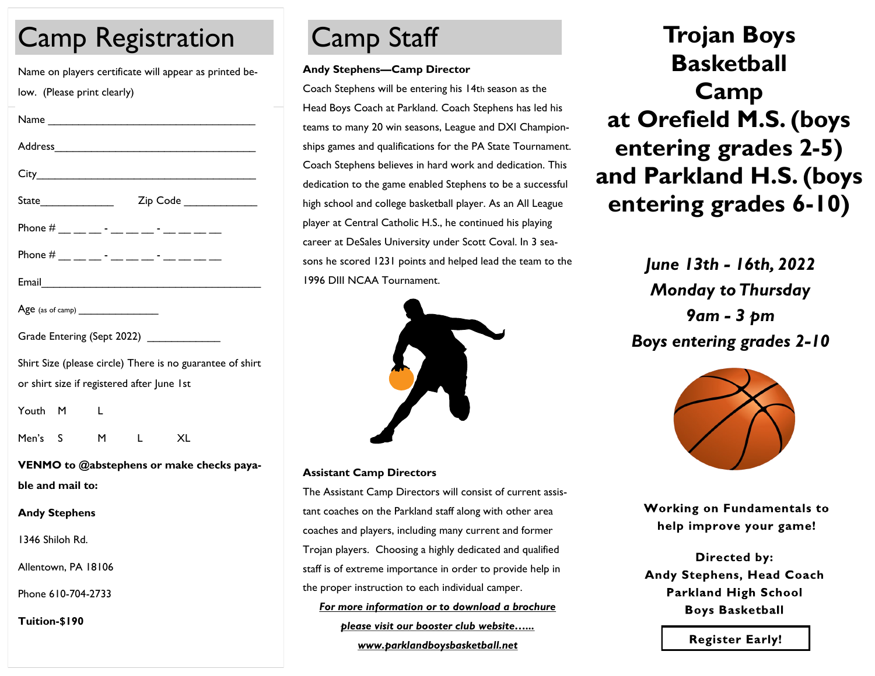# Camp Registration Camp Staff

Name on players certificate will appear as printed below. (Please print clearly)

| Address                                     |  |  |
|---------------------------------------------|--|--|
|                                             |  |  |
| Zip Code ______________                     |  |  |
| Phone # __ __ __ - __ __ - __ - __ -_ __ __ |  |  |
| Phone # __ __ __ - __ __ __ - __ __ __ __   |  |  |
|                                             |  |  |
|                                             |  |  |
| Grade Entering (Sept 2022) ______________   |  |  |

| Shirt Size (please circle) There is no guarantee of shirt |
|-----------------------------------------------------------|
| or shirt size if registered after June 1st                |

Youth M L

Men's S M L XL

**VENMO to @abstephens or make checks payable and mail to:**

#### **Andy Stephens**

1346 Shiloh Rd.

Allentown, PA 18106

Phone 610-704-2733

**Tuition-\$190**

#### **Andy Stephens—Camp Director**

Coach Stephens will be entering his 14th season as the Head Boys Coach at Parkland. Coach Stephens has led his teams to many 20 win seasons, League and DXI Championships games and qualifications for the PA State Tournament. Coach Stephens believes in hard work and dedication. This dedication to the game enabled Stephens to be a successful high school and college basketball player. As an All League player at Central Catholic H.S., he continued his playing career at DeSales University under Scott Coval. In 3 seasons he scored 1231 points and helped lead the team to the 1996 DIII NCAA Tournament.



#### **Assistant Camp Directors**

The Assistant Camp Directors will consist of current assistant coaches on the Parkland staff along with other area coaches and players, including many current and former Trojan players. Choosing a highly dedicated and qualified staff is of extreme importance in order to provide help in the proper instruction to each individual camper.

*For more information or to download a brochure please visit our booster club website…... www.parklandboysbasketball.net*

**Trojan Boys Basketball Camp at Orefield M.S. (boys entering grades 2-5) and Parkland H.S. (boys entering grades 6-10)**

> *June 13th - 16th, 2022 Monday to Thursday 9am - 3 pm Boys entering grades 2-10*



**Working on Fundamentals to** help improve your game!

**Directed by:** Andy Stephens, Head Coach **Parkland High School Boys Basketball** 

**Register Early!**